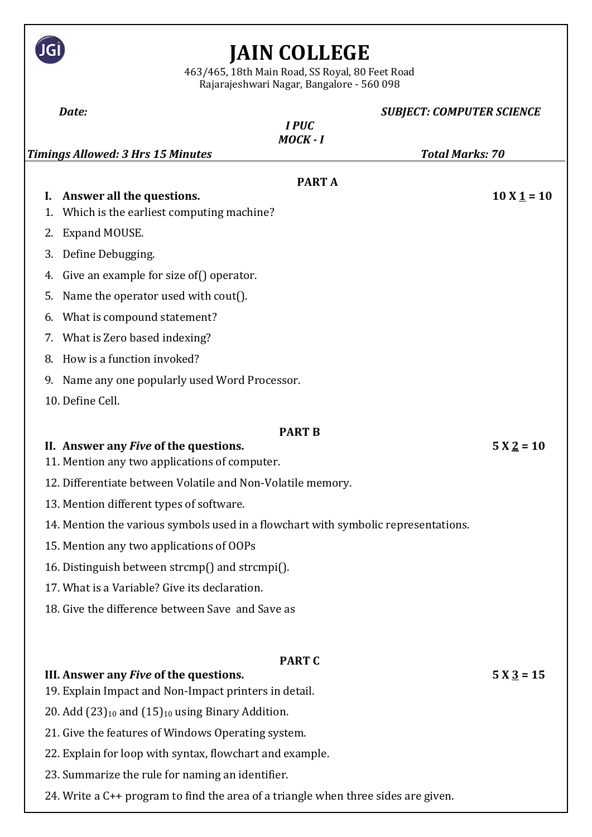|          | 463/465, 18th Main Road, SS Royal, 80 Feet Road<br>Rajarajeshwari Nagar, Bangalore - 560 098                                                                                                                      | <b>JAIN COLLEGE</b>                      |                        |                                  |  |
|----------|-------------------------------------------------------------------------------------------------------------------------------------------------------------------------------------------------------------------|------------------------------------------|------------------------|----------------------------------|--|
|          | Date:                                                                                                                                                                                                             |                                          |                        | <b>SUBJECT: COMPUTER SCIENCE</b> |  |
|          |                                                                                                                                                                                                                   | <b>IPUC</b><br>MOCK-I                    |                        |                                  |  |
|          | <b>Timings Allowed: 3 Hrs 15 Minutes</b>                                                                                                                                                                          |                                          | <b>Total Marks: 70</b> |                                  |  |
|          |                                                                                                                                                                                                                   | <b>PART A</b>                            |                        | $10 X 1 = 10$                    |  |
| L.<br>1. | Answer all the questions.                                                                                                                                                                                         | Which is the earliest computing machine? |                        |                                  |  |
| 2.       | Expand MOUSE.                                                                                                                                                                                                     |                                          |                        |                                  |  |
| 3.       | Define Debugging.                                                                                                                                                                                                 |                                          |                        |                                  |  |
| 4.       | Give an example for size of () operator.                                                                                                                                                                          |                                          |                        |                                  |  |
| 5.       | Name the operator used with cout().                                                                                                                                                                               |                                          |                        |                                  |  |
| 6.       | What is compound statement?                                                                                                                                                                                       |                                          |                        |                                  |  |
| 7.       | What is Zero based indexing?                                                                                                                                                                                      |                                          |                        |                                  |  |
| 8.       | How is a function invoked?                                                                                                                                                                                        |                                          |                        |                                  |  |
| 9.       | Name any one popularly used Word Processor.                                                                                                                                                                       |                                          |                        |                                  |  |
|          | 10. Define Cell.                                                                                                                                                                                                  |                                          |                        |                                  |  |
|          |                                                                                                                                                                                                                   |                                          |                        |                                  |  |
|          | II. Answer any <i>Five</i> of the questions.<br>11. Mention any two applications of computer.                                                                                                                     | <b>PART B</b>                            |                        | $5 X_2 = 10$                     |  |
|          | 12. Differentiate between Volatile and Non-Volatile memory.                                                                                                                                                       |                                          |                        |                                  |  |
|          | 13. Mention different types of software.<br>14. Mention the various symbols used in a flowchart with symbolic representations.                                                                                    |                                          |                        |                                  |  |
|          |                                                                                                                                                                                                                   |                                          |                        |                                  |  |
|          | 15. Mention any two applications of OOPs                                                                                                                                                                          |                                          |                        |                                  |  |
|          | 16. Distinguish between strcmp() and strcmpi().                                                                                                                                                                   |                                          |                        |                                  |  |
|          | 17. What is a Variable? Give its declaration.                                                                                                                                                                     |                                          |                        |                                  |  |
|          | 18. Give the difference between Save and Save as                                                                                                                                                                  |                                          |                        |                                  |  |
|          |                                                                                                                                                                                                                   |                                          |                        |                                  |  |
|          | <b>PART C</b><br>III. Answer any <i>Five</i> of the questions.<br>$5 X \underline{3} = 15$<br>19. Explain Impact and Non-Impact printers in detail.<br>20. Add $(23)_{10}$ and $(15)_{10}$ using Binary Addition. |                                          |                        |                                  |  |
|          |                                                                                                                                                                                                                   |                                          |                        |                                  |  |
|          |                                                                                                                                                                                                                   |                                          |                        |                                  |  |
|          | 21. Give the features of Windows Operating system.                                                                                                                                                                |                                          |                        |                                  |  |
|          | 22. Explain for loop with syntax, flowchart and example.                                                                                                                                                          |                                          |                        |                                  |  |
|          | 23. Summarize the rule for naming an identifier.                                                                                                                                                                  |                                          |                        |                                  |  |
|          | 24. Write a C++ program to find the area of a triangle when three sides are given.                                                                                                                                |                                          |                        |                                  |  |